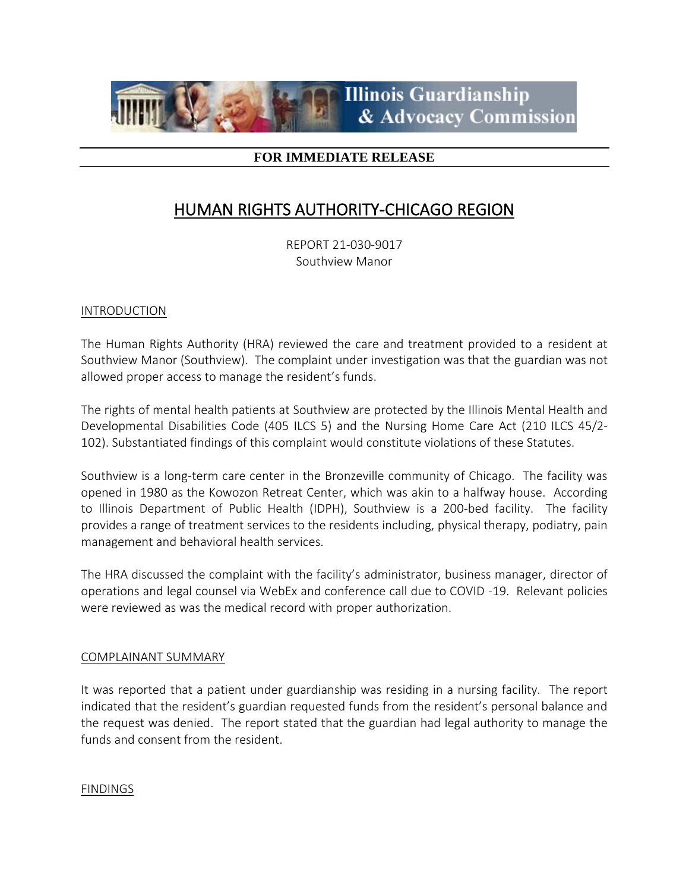

# **FOR IMMEDIATE RELEASE**

# HUMAN RIGHTS AUTHORITY-CHICAGO REGION

REPORT 21-030-9017 Southview Manor

## INTRODUCTION

The Human Rights Authority (HRA) reviewed the care and treatment provided to a resident at Southview Manor (Southview). The complaint under investigation was that the guardian was not allowed proper access to manage the resident's funds.

The rights of mental health patients at Southview are protected by the Illinois Mental Health and Developmental Disabilities Code (405 ILCS 5) and the Nursing Home Care Act (210 ILCS 45/2- 102). Substantiated findings of this complaint would constitute violations of these Statutes.

Southview is a long-term care center in the Bronzeville community of Chicago. The facility was opened in 1980 as the Kowozon Retreat Center, which was akin to a halfway house. According to Illinois Department of Public Health (IDPH), Southview is a 200-bed facility. The facility provides a range of treatment services to the residents including, physical therapy, podiatry, pain management and behavioral health services.

The HRA discussed the complaint with the facility's administrator, business manager, director of operations and legal counsel via WebEx and conference call due to COVID -19. Relevant policies were reviewed as was the medical record with proper authorization.

## COMPLAINANT SUMMARY

It was reported that a patient under guardianship was residing in a nursing facility. The report indicated that the resident's guardian requested funds from the resident's personal balance and the request was denied. The report stated that the guardian had legal authority to manage the funds and consent from the resident.

FINDINGS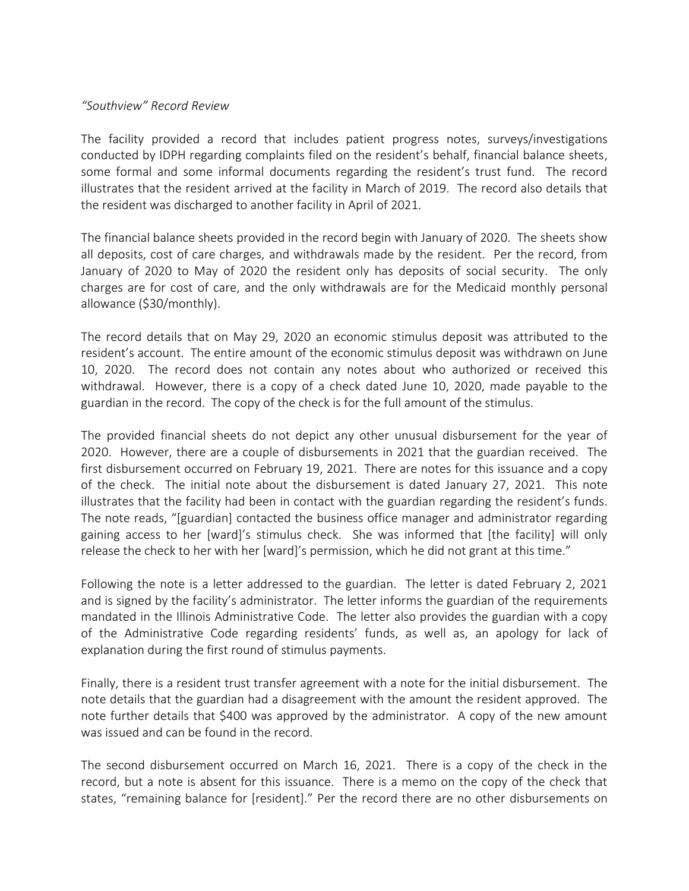#### *"Southview" Record Review*

The facility provided a record that includes patient progress notes, surveys/investigations conducted by IDPH regarding complaints filed on the resident's behalf, financial balance sheets, some formal and some informal documents regarding the resident's trust fund. The record illustrates that the resident arrived at the facility in March of 2019. The record also details that the resident was discharged to another facility in April of 2021.

The financial balance sheets provided in the record begin with January of 2020. The sheets show all deposits, cost of care charges, and withdrawals made by the resident. Per the record, from January of 2020 to May of 2020 the resident only has deposits of social security. The only charges are for cost of care, and the only withdrawals are for the Medicaid monthly personal allowance (\$30/monthly).

The record details that on May 29, 2020 an economic stimulus deposit was attributed to the resident's account. The entire amount of the economic stimulus deposit was withdrawn on June 10, 2020. The record does not contain any notes about who authorized or received this withdrawal. However, there is a copy of a check dated June 10, 2020, made payable to the guardian in the record. The copy of the check is for the full amount of the stimulus.

The provided financial sheets do not depict any other unusual disbursement for the year of 2020. However, there are a couple of disbursements in 2021 that the guardian received. The first disbursement occurred on February 19, 2021. There are notes for this issuance and a copy of the check. The initial note about the disbursement is dated January 27, 2021. This note illustrates that the facility had been in contact with the guardian regarding the resident's funds. The note reads, "[guardian] contacted the business office manager and administrator regarding gaining access to her [ward]'s stimulus check. She was informed that [the facility] will only release the check to her with her [ward]'s permission, which he did not grant at this time."

Following the note is a letter addressed to the guardian. The letter is dated February 2, 2021 and is signed by the facility's administrator. The letter informs the guardian of the requirements mandated in the Illinois Administrative Code. The letter also provides the guardian with a copy of the Administrative Code regarding residents' funds, as well as, an apology for lack of explanation during the first round of stimulus payments.

Finally, there is a resident trust transfer agreement with a note for the initial disbursement. The note details that the guardian had a disagreement with the amount the resident approved. The note further details that \$400 was approved by the administrator. A copy of the new amount was issued and can be found in the record.

The second disbursement occurred on March 16, 2021. There is a copy of the check in the record, but a note is absent for this issuance. There is a memo on the copy of the check that states, "remaining balance for [resident]." Per the record there are no other disbursements on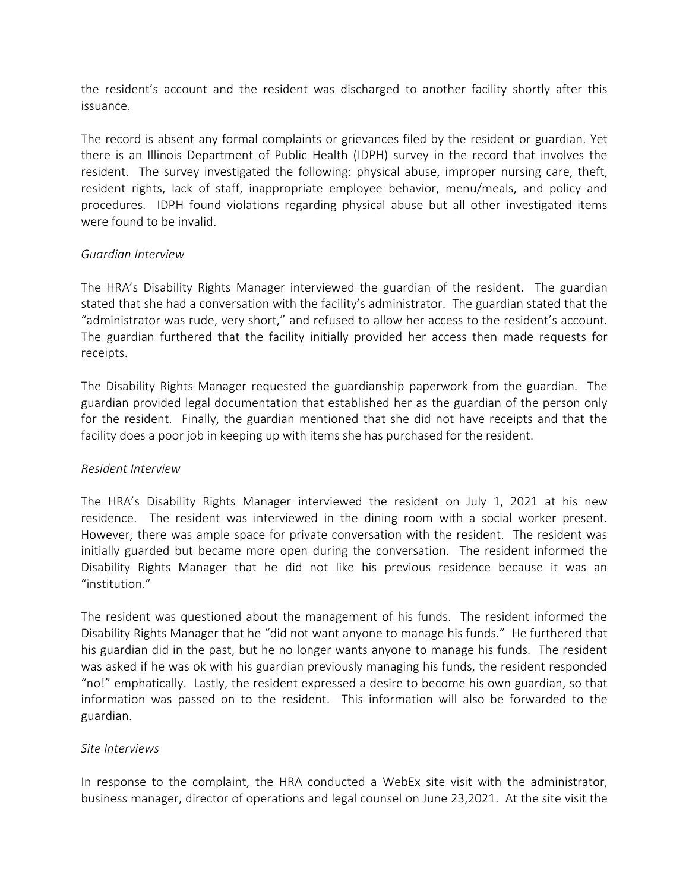the resident's account and the resident was discharged to another facility shortly after this issuance.

The record is absent any formal complaints or grievances filed by the resident or guardian. Yet there is an Illinois Department of Public Health (IDPH) survey in the record that involves the resident. The survey investigated the following: physical abuse, improper nursing care, theft, resident rights, lack of staff, inappropriate employee behavior, menu/meals, and policy and procedures. IDPH found violations regarding physical abuse but all other investigated items were found to be invalid.

## *Guardian Interview*

The HRA's Disability Rights Manager interviewed the guardian of the resident. The guardian stated that she had a conversation with the facility's administrator. The guardian stated that the "administrator was rude, very short," and refused to allow her access to the resident's account. The guardian furthered that the facility initially provided her access then made requests for receipts.

The Disability Rights Manager requested the guardianship paperwork from the guardian. The guardian provided legal documentation that established her as the guardian of the person only for the resident. Finally, the guardian mentioned that she did not have receipts and that the facility does a poor job in keeping up with items she has purchased for the resident.

## *Resident Interview*

The HRA's Disability Rights Manager interviewed the resident on July 1, 2021 at his new residence. The resident was interviewed in the dining room with a social worker present. However, there was ample space for private conversation with the resident. The resident was initially guarded but became more open during the conversation. The resident informed the Disability Rights Manager that he did not like his previous residence because it was an "institution."

The resident was questioned about the management of his funds. The resident informed the Disability Rights Manager that he "did not want anyone to manage his funds." He furthered that his guardian did in the past, but he no longer wants anyone to manage his funds. The resident was asked if he was ok with his guardian previously managing his funds, the resident responded "no!" emphatically. Lastly, the resident expressed a desire to become his own guardian, so that information was passed on to the resident. This information will also be forwarded to the guardian.

# *Site Interviews*

In response to the complaint, the HRA conducted a WebEx site visit with the administrator, business manager, director of operations and legal counsel on June 23,2021. At the site visit the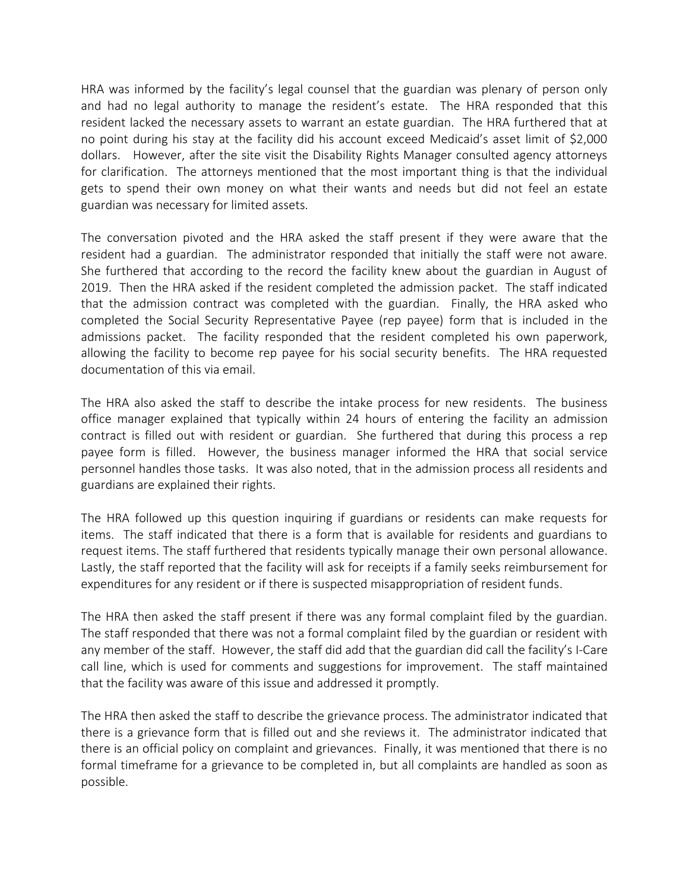HRA was informed by the facility's legal counsel that the guardian was plenary of person only and had no legal authority to manage the resident's estate. The HRA responded that this resident lacked the necessary assets to warrant an estate guardian. The HRA furthered that at no point during his stay at the facility did his account exceed Medicaid's asset limit of \$2,000 dollars. However, after the site visit the Disability Rights Manager consulted agency attorneys for clarification. The attorneys mentioned that the most important thing is that the individual gets to spend their own money on what their wants and needs but did not feel an estate guardian was necessary for limited assets.

The conversation pivoted and the HRA asked the staff present if they were aware that the resident had a guardian. The administrator responded that initially the staff were not aware. She furthered that according to the record the facility knew about the guardian in August of 2019. Then the HRA asked if the resident completed the admission packet. The staff indicated that the admission contract was completed with the guardian. Finally, the HRA asked who completed the Social Security Representative Payee (rep payee) form that is included in the admissions packet. The facility responded that the resident completed his own paperwork, allowing the facility to become rep payee for his social security benefits. The HRA requested documentation of this via email.

The HRA also asked the staff to describe the intake process for new residents. The business office manager explained that typically within 24 hours of entering the facility an admission contract is filled out with resident or guardian. She furthered that during this process a rep payee form is filled. However, the business manager informed the HRA that social service personnel handles those tasks. It was also noted, that in the admission process all residents and guardians are explained their rights.

The HRA followed up this question inquiring if guardians or residents can make requests for items. The staff indicated that there is a form that is available for residents and guardians to request items. The staff furthered that residents typically manage their own personal allowance. Lastly, the staff reported that the facility will ask for receipts if a family seeks reimbursement for expenditures for any resident or if there is suspected misappropriation of resident funds.

The HRA then asked the staff present if there was any formal complaint filed by the guardian. The staff responded that there was not a formal complaint filed by the guardian or resident with any member of the staff. However, the staff did add that the guardian did call the facility's I-Care call line, which is used for comments and suggestions for improvement. The staff maintained that the facility was aware of this issue and addressed it promptly.

The HRA then asked the staff to describe the grievance process. The administrator indicated that there is a grievance form that is filled out and she reviews it. The administrator indicated that there is an official policy on complaint and grievances. Finally, it was mentioned that there is no formal timeframe for a grievance to be completed in, but all complaints are handled as soon as possible.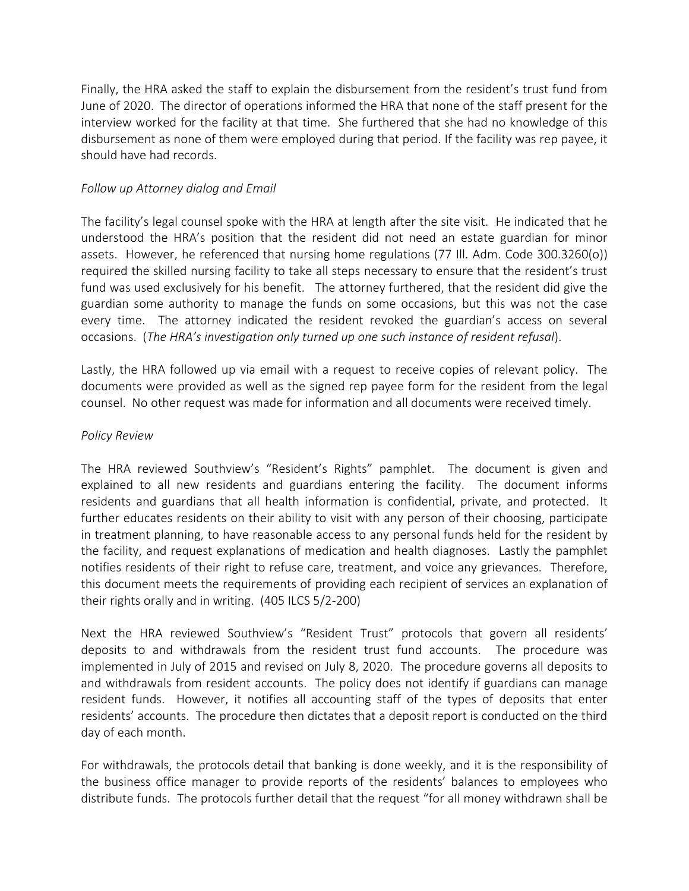Finally, the HRA asked the staff to explain the disbursement from the resident's trust fund from June of 2020. The director of operations informed the HRA that none of the staff present for the interview worked for the facility at that time. She furthered that she had no knowledge of this disbursement as none of them were employed during that period. If the facility was rep payee, it should have had records.

# *Follow up Attorney dialog and Email*

The facility's legal counsel spoke with the HRA at length after the site visit. He indicated that he understood the HRA's position that the resident did not need an estate guardian for minor assets. However, he referenced that nursing home regulations (77 Ill. Adm. Code 300.3260(o)) required the skilled nursing facility to take all steps necessary to ensure that the resident's trust fund was used exclusively for his benefit. The attorney furthered, that the resident did give the guardian some authority to manage the funds on some occasions, but this was not the case every time. The attorney indicated the resident revoked the guardian's access on several occasions. (*The HRA's investigation only turned up one such instance of resident refusal*).

Lastly, the HRA followed up via email with a request to receive copies of relevant policy. The documents were provided as well as the signed rep payee form for the resident from the legal counsel. No other request was made for information and all documents were received timely.

## *Policy Review*

The HRA reviewed Southview's "Resident's Rights" pamphlet. The document is given and explained to all new residents and guardians entering the facility. The document informs residents and guardians that all health information is confidential, private, and protected. It further educates residents on their ability to visit with any person of their choosing, participate in treatment planning, to have reasonable access to any personal funds held for the resident by the facility, and request explanations of medication and health diagnoses. Lastly the pamphlet notifies residents of their right to refuse care, treatment, and voice any grievances. Therefore, this document meets the requirements of providing each recipient of services an explanation of their rights orally and in writing. (405 ILCS 5/2-200)

Next the HRA reviewed Southview's "Resident Trust" protocols that govern all residents' deposits to and withdrawals from the resident trust fund accounts. The procedure was implemented in July of 2015 and revised on July 8, 2020. The procedure governs all deposits to and withdrawals from resident accounts. The policy does not identify if guardians can manage resident funds. However, it notifies all accounting staff of the types of deposits that enter residents' accounts. The procedure then dictates that a deposit report is conducted on the third day of each month.

For withdrawals, the protocols detail that banking is done weekly, and it is the responsibility of the business office manager to provide reports of the residents' balances to employees who distribute funds. The protocols further detail that the request "for all money withdrawn shall be